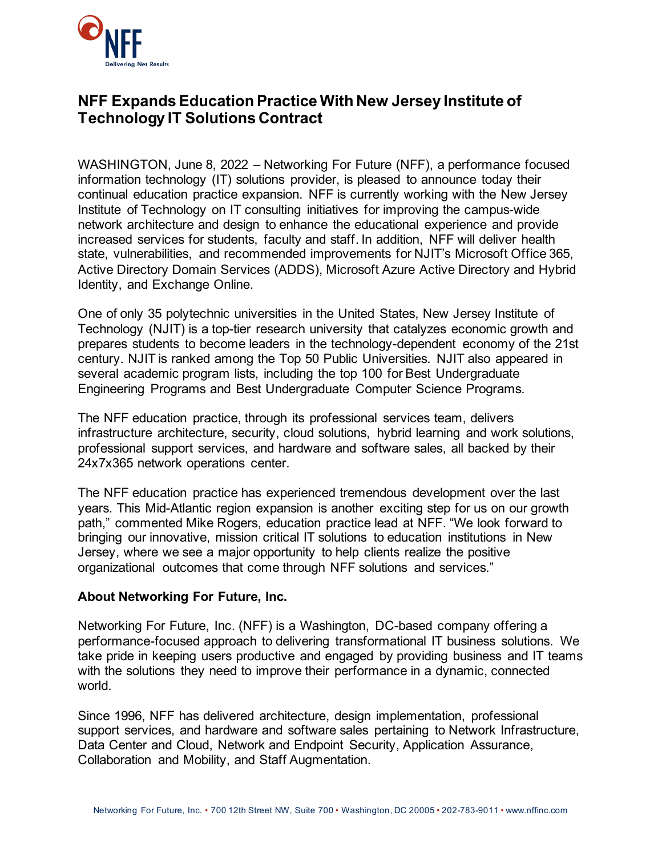

## **NFF Expands Education Practice With New Jersey Institute of Technology IT Solutions Contract**

WASHINGTON, June 8, 2022 – Networking For Future (NFF), a performance focused information technology (IT) solutions provider, is pleased to announce today their continual education practice expansion. NFF is currently working with the New Jersey Institute of Technology on IT consulting initiatives for improving the campus-wide network architecture and design to enhance the educational experience and provide increased services for students, faculty and staff. In addition, NFF will deliver health state, vulnerabilities, and recommended improvements for NJIT's Microsoft Office 365, Active Directory Domain Services (ADDS), Microsoft Azure Active Directory and Hybrid Identity, and Exchange Online.

One of only 35 polytechnic universities in the United States, New Jersey Institute of Technology (NJIT) is a top-tier research university that catalyzes economic growth and prepares students to become leaders in the technology-dependent economy of the 21st century. NJIT is ranked among the Top 50 Public Universities. NJIT also appeared in several academic program lists, including the top 100 for Best Undergraduate Engineering Programs and Best Undergraduate Computer Science Programs.

The NFF education practice, through its professional services team, delivers infrastructure architecture, security, cloud solutions, hybrid learning and work solutions, professional support services, and hardware and software sales, all backed by their 24x7x365 network operations center.

The NFF education practice has experienced tremendous development over the last years. This Mid-Atlantic region expansion is another exciting step for us on our growth path," commented Mike Rogers, education practice lead at NFF. "We look forward to bringing our innovative, mission critical IT solutions to education institutions in New Jersey, where we see a major opportunity to help clients realize the positive organizational outcomes that come through NFF solutions and services."

## **About Networking For Future, Inc.**

Networking For Future, Inc. (NFF) is a Washington, DC-based company offering a performance-focused approach to delivering transformational IT business solutions. We take pride in keeping users productive and engaged by providing business and IT teams with the solutions they need to improve their performance in a dynamic, connected world.

Since 1996, NFF has delivered architecture, design implementation, professional support services, and hardware and software sales pertaining to Network Infrastructure, Data Center and Cloud, Network and Endpoint Security, Application Assurance, Collaboration and Mobility, and Staff Augmentation.